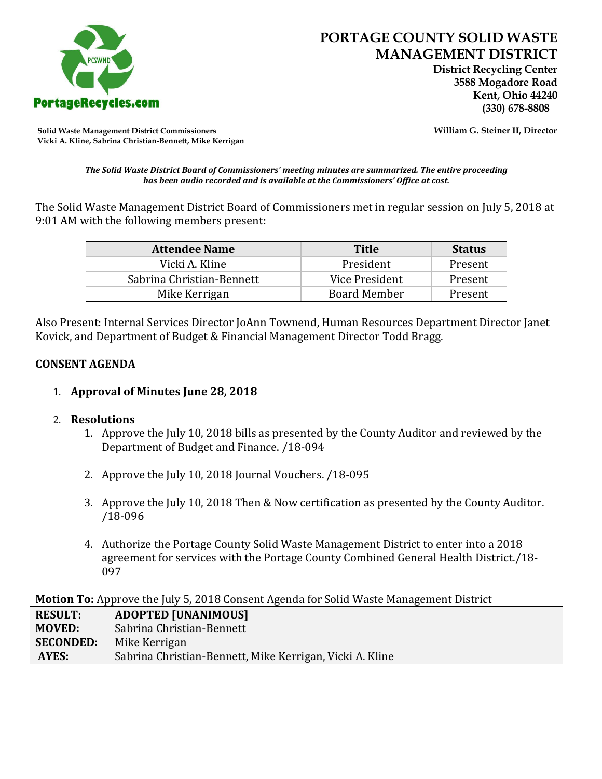

 **District Recycling Center 3588 Mogadore Road Kent, Ohio 44240**

**Solid Waste Management District Commissioners William G. Steiner II, Director Vicki A. Kline, Sabrina Christian-Bennett, Mike Kerrigan** 

#### *The Solid Waste District Board of Commissioners' meeting minutes are summarized. The entire proceeding has been audio recorded and is available at the Commissioners' Office at cost.*

The Solid Waste Management District Board of Commissioners met in regular session on July 5, 2018 at 9:01 AM with the following members present:

| <b>Attendee Name</b>      | <b>Title</b>        | <b>Status</b> |
|---------------------------|---------------------|---------------|
| Vicki A. Kline            | President           | Present       |
| Sabrina Christian-Bennett | Vice President      | Present       |
| Mike Kerrigan             | <b>Board Member</b> | Present       |

Also Present: Internal Services Director JoAnn Townend, Human Resources Department Director Janet Kovick, and Department of Budget & Financial Management Director Todd Bragg.

### **CONSENT AGENDA**

# 1. **Approval of Minutes June 28, 2018**

#### 2. **Resolutions**

- 1. Approve the July 10, 2018 bills as presented by the County Auditor and reviewed by the Department of Budget and Finance. /18-094
- 2. Approve the July 10, 2018 Journal Vouchers. /18-095
- 3. Approve the July 10, 2018 Then & Now certification as presented by the County Auditor. /18-096
- 4. Authorize the Portage County Solid Waste Management District to enter into a 2018 agreement for services with the Portage County Combined General Health District./18- 097

**Motion To:** Approve the July 5, 2018 Consent Agenda for Solid Waste Management District

| <b>RESULT:</b>   | <b>ADOPTED [UNANIMOUS]</b>                               |
|------------------|----------------------------------------------------------|
| <b>MOVED:</b>    | Sabrina Christian-Bennett                                |
| <b>SECONDED:</b> | Mike Kerrigan                                            |
| AYES:            | Sabrina Christian-Bennett, Mike Kerrigan, Vicki A. Kline |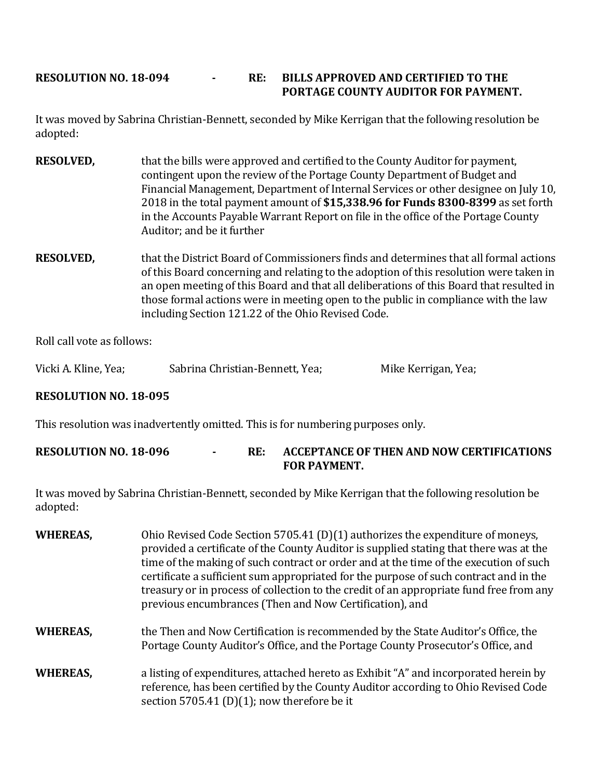# **RESOLUTION NO. 18-094 - RE: BILLS APPROVED AND CERTIFIED TO THE PORTAGE COUNTY AUDITOR FOR PAYMENT.**

It was moved by Sabrina Christian-Bennett, seconded by Mike Kerrigan that the following resolution be adopted:

- **RESOLVED,** that the bills were approved and certified to the County Auditor for payment, contingent upon the review of the Portage County Department of Budget and Financial Management, Department of Internal Services or other designee on July 10, 2018 in the total payment amount of **\$15,338.96 for Funds 8300-8399** as set forth in the Accounts Payable Warrant Report on file in the office of the Portage County Auditor; and be it further
- **RESOLVED,** that the District Board of Commissioners finds and determines that all formal actions of this Board concerning and relating to the adoption of this resolution were taken in an open meeting of this Board and that all deliberations of this Board that resulted in those formal actions were in meeting open to the public in compliance with the law including Section 121.22 of the Ohio Revised Code.

Roll call vote as follows:

Vicki A. Kline, Yea; Sabrina Christian-Bennett, Yea; Mike Kerrigan, Yea;

# **RESOLUTION NO. 18-095**

This resolution was inadvertently omitted. This is for numbering purposes only.

# **RESOLUTION NO. 18-096 - RE: ACCEPTANCE OF THEN AND NOW CERTIFICATIONS FOR PAYMENT.**

It was moved by Sabrina Christian-Bennett, seconded by Mike Kerrigan that the following resolution be adopted:

| <b>WHEREAS,</b> | Ohio Revised Code Section 5705.41 (D)(1) authorizes the expenditure of moneys,<br>provided a certificate of the County Auditor is supplied stating that there was at the<br>time of the making of such contract or order and at the time of the execution of such<br>certificate a sufficient sum appropriated for the purpose of such contract and in the<br>treasury or in process of collection to the credit of an appropriate fund free from any<br>previous encumbrances (Then and Now Certification), and |
|-----------------|------------------------------------------------------------------------------------------------------------------------------------------------------------------------------------------------------------------------------------------------------------------------------------------------------------------------------------------------------------------------------------------------------------------------------------------------------------------------------------------------------------------|
| <b>WHEREAS,</b> | the Then and Now Certification is recommended by the State Auditor's Office, the<br>Portage County Auditor's Office, and the Portage County Prosecutor's Office, and                                                                                                                                                                                                                                                                                                                                             |
| <b>WHEREAS,</b> | a listing of expenditures, attached hereto as Exhibit "A" and incorporated herein by<br>reference, has been certified by the County Auditor according to Ohio Revised Code<br>section 5705.41 (D)(1); now therefore be it                                                                                                                                                                                                                                                                                        |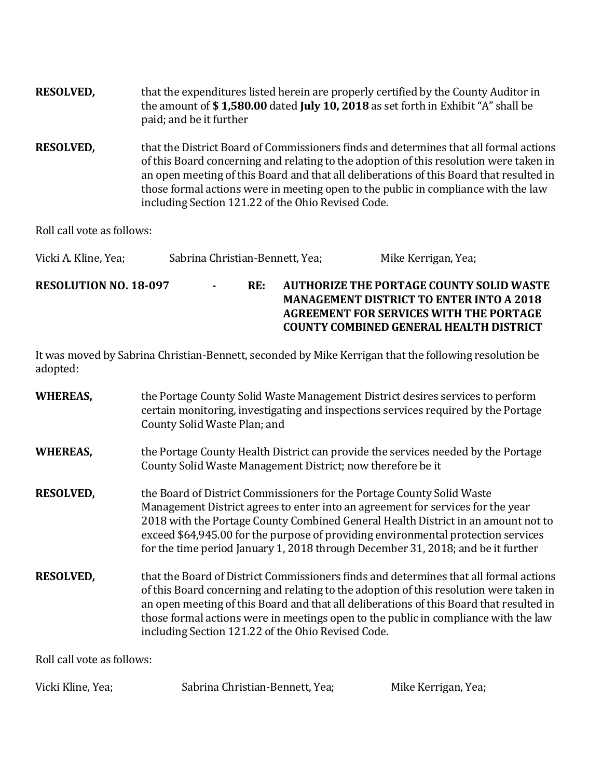| <b>RESOLVED,</b> | that the expenditures listed herein are properly certified by the County Auditor in<br>the amount of \$1,580.00 dated July 10, 2018 as set forth in Exhibit "A" shall be<br>paid; and be it further                                                                                                                                                                                                                    |
|------------------|------------------------------------------------------------------------------------------------------------------------------------------------------------------------------------------------------------------------------------------------------------------------------------------------------------------------------------------------------------------------------------------------------------------------|
| <b>RESOLVED,</b> | that the District Board of Commissioners finds and determines that all formal actions<br>of this Board concerning and relating to the adoption of this resolution were taken in<br>an open meeting of this Board and that all deliberations of this Board that resulted in<br>those formal actions were in meeting open to the public in compliance with the law<br>including Section 121.22 of the Ohio Revised Code. |

Roll call vote as follows:

| Vicki A. Kline, Yea;         | Sabrina Christian-Bennett, Yea; |     | Mike Kerrigan, Yea;                                                                                                                                                                             |
|------------------------------|---------------------------------|-----|-------------------------------------------------------------------------------------------------------------------------------------------------------------------------------------------------|
| <b>RESOLUTION NO. 18-097</b> | $\sim$                          | RE: | <b>AUTHORIZE THE PORTAGE COUNTY SOLID WASTE</b><br><b>MANAGEMENT DISTRICT TO ENTER INTO A 2018</b><br>AGREEMENT FOR SERVICES WITH THE PORTAGE<br><b>COUNTY COMBINED GENERAL HEALTH DISTRICT</b> |

It was moved by Sabrina Christian-Bennett, seconded by Mike Kerrigan that the following resolution be adopted:

| <b>WHEREAS,</b>            | the Portage County Solid Waste Management District desires services to perform<br>certain monitoring, investigating and inspections services required by the Portage<br>County Solid Waste Plan; and                                                                                                                                                                                                                    |
|----------------------------|-------------------------------------------------------------------------------------------------------------------------------------------------------------------------------------------------------------------------------------------------------------------------------------------------------------------------------------------------------------------------------------------------------------------------|
| <b>WHEREAS,</b>            | the Portage County Health District can provide the services needed by the Portage<br>County Solid Waste Management District; now therefore be it                                                                                                                                                                                                                                                                        |
| <b>RESOLVED,</b>           | the Board of District Commissioners for the Portage County Solid Waste<br>Management District agrees to enter into an agreement for services for the year<br>2018 with the Portage County Combined General Health District in an amount not to<br>exceed \$64,945.00 for the purpose of providing environmental protection services<br>for the time period January 1, 2018 through December 31, 2018; and be it further |
| <b>RESOLVED,</b>           | that the Board of District Commissioners finds and determines that all formal actions<br>of this Board concerning and relating to the adoption of this resolution were taken in<br>an open meeting of this Board and that all deliberations of this Board that resulted in<br>those formal actions were in meetings open to the public in compliance with the law<br>including Section 121.22 of the Ohio Revised Code. |
| Roll call vote as follows: |                                                                                                                                                                                                                                                                                                                                                                                                                         |

Vicki Kline, Yea; Sabrina Christian-Bennett, Yea; Mike Kerrigan, Yea;